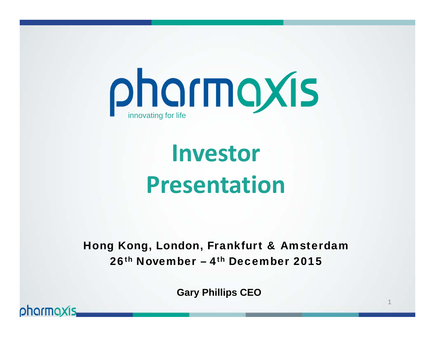

# **Investor Presentation**

### Hong Kong, London, Frankfurt & Amsterdam 26<sup>th</sup> November – 4<sup>th</sup> December 2015

**Gary Phillips CEO**

1

pharmaxis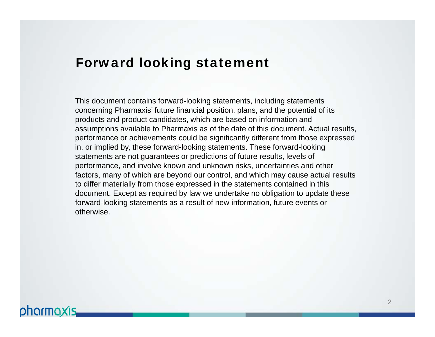### Forward looking statement

This document contains forward-looking statements, including statements concerning Pharmaxis' future financial position, plans, and the potential of its products and product candidates, which are based on information and assumptions available to Pharmaxis as of the date of this document. Actual results, performance or achievements could be significantly different from those expressed in, or implied by, these forward-looking statements. These forward-looking statements are not guarantees or predictions of future results, levels of performance, and involve known and unknown risks, uncertainties and other factors, many of which are beyond our control, and which may cause actual results to differ materially from those expressed in the statements contained in this document. Except as required by law we undertake no obligation to update these forward-looking statements as a result of new information, future events or otherwise.

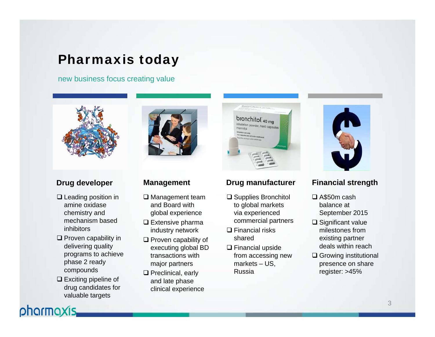# Pharmaxis today

new business focus creating value



### **Drug developer**

- $\square$  Leading position in amine oxidase chemistry and mechanism based inhibitors
- $\square$  Proven capability in delivering quality programs to achieve phase 2 ready compounds
- $\square$  Exciting pipeline of drug candidates for valuable targets

pharmaxis,



### **Management**

- **□** Management team and Board with global experience
- $\square$  Extensive pharma industry network
- $\square$  Proven capability of executing global BD transactions with major partners
- $\square$  Preclinical, early and late phase clinical experience



### **Drug manufacturer**

- **□** Supplies Bronchitol to global markets via experienced commercial partners
- **□ Financial risks** shared
- $\square$  Financial upside from accessing new markets – US, Russia



### **Financial strength**

- A\$50m cash balance at September 2015
- $\square$  Significant value milestones from existing partner deals within reach
- **□ Growing institutional** presence on share register: >45%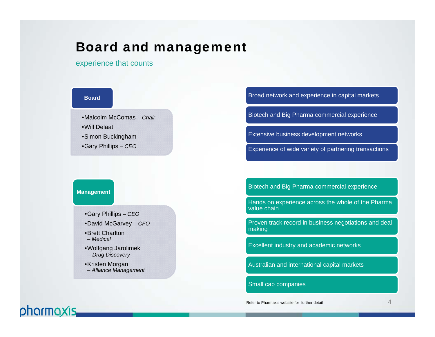### Board and management

experience that counts



#### **Management**

pharmaxis.

•Gary Phillips *– CEO* •David McGarvey *– CFO*

•Brett Charlton *– Medical* 

•Wolfgang Jarolimek – *Drug Discovery*

•Kristen Morgan *– Alliance Management*

#### Broad network and experience in capital markets

Biotech and Big Pharma commercial experience

Extensive business development networks

Experience of wide variety of partnering transactions

Biotech and Big Pharma commercial experience

Hands on experience across the whole of the Pharma value chain

Proven track record in business negotiations and deal making

Excellent industry and academic networks

Australian and international capital markets

#### Small cap companies

Refer to Pharmaxis website for further detail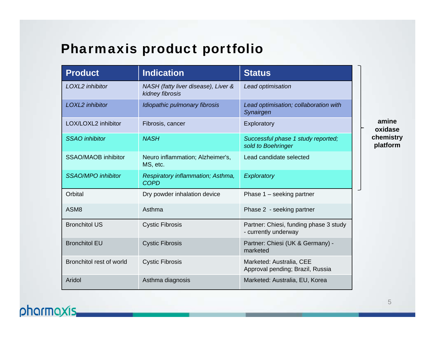# Pharmaxis product portfolio

| <b>Product</b>             | <b>Indication</b>                                      | <b>Status</b>                                                  |  |  |
|----------------------------|--------------------------------------------------------|----------------------------------------------------------------|--|--|
| LOXL2 inhibitor            | NASH (fatty liver disease), Liver &<br>kidney fibrosis | Lead optimisation                                              |  |  |
| LOXL2 inhibitor            | Idiopathic pulmonary fibrosis                          | Lead optimisation; collaboration with<br>Synairgen             |  |  |
| LOX/LOXL2 inhibitor        | Fibrosis, cancer                                       | Exploratory                                                    |  |  |
| <b>SSAO</b> inhibitor      | <b>NASH</b>                                            | Successful phase 1 study reported;<br>sold to Boehringer       |  |  |
| <b>SSAO/MAOB inhibitor</b> | Neuro inflammation; Alzheimer's,<br>MS, etc.           | Lead candidate selected                                        |  |  |
| <b>SSAO/MPO</b> inhibitor  | Respiratory inflammation; Asthma,<br><b>COPD</b>       | Exploratory                                                    |  |  |
| Orbital                    | Dry powder inhalation device                           | Phase $1 -$ seeking partner                                    |  |  |
| ASM <sub>8</sub>           | Asthma                                                 | Phase 2 - seeking partner                                      |  |  |
| <b>Bronchitol US</b>       | <b>Cystic Fibrosis</b>                                 | Partner: Chiesi, funding phase 3 study<br>- currently underway |  |  |
| <b>Bronchitol EU</b>       | <b>Cystic Fibrosis</b>                                 | Partner: Chiesi (UK & Germany) -<br>marketed                   |  |  |
| Bronchitol rest of world   | <b>Cystic Fibrosis</b>                                 | Marketed: Australia, CEE<br>Approval pending; Brazil, Russia   |  |  |
| Aridol                     | Asthma diagnosis                                       | Marketed: Australia, EU, Korea                                 |  |  |

**amine oxidase chemistry platform**

# pharmaxis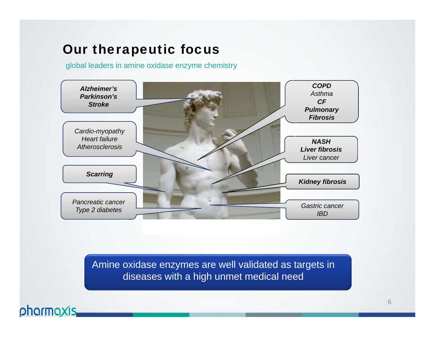# Our therapeutic focus

global leaders in amine oxidase enzyme chemistry



Amine oxidase enzymes are well validated as targets in diseases with a high unmet medical need

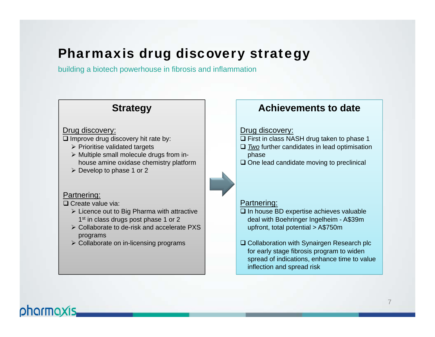# Pharmaxis drug discovery strategy

building a biotech powerhouse in fibrosis and inflammation

### **Strategy**

#### Drug discovery:

- $\square$  Improve drug discovery hit rate by:
	- $\triangleright$  Prioritise validated targets
	- $\triangleright$  Multiple small molecule drugs from inhouse amine oxidase chemistry platform
	- $\triangleright$  Develop to phase 1 or 2

#### Partnering:

□ Create value via:

- $\triangleright$  Licence out to Big Pharma with attractive 1<sup>st</sup> in class drugs post phase 1 or 2
- Collaborate to de-risk and accelerate PXS programs
- $\triangleright$  Collaborate on in-licensing programs

### **Achievements to date**

#### Drug discovery:

- $\Box$  First in class NASH drug taken to phase 1
- *Two* further candidates in lead optimisation phase
- $\square$  One lead candidate moving to preclinical

#### Partnering:

- $\square$  In house BD expertise achieves valuable deal with Boehringer Ingelheim - A\$39m upfront, total potential > A\$750m
- **□ Collaboration with Synairgen Research plc** for early stage fibrosis program to widen spread of indications, enhance time to value inflection and spread risk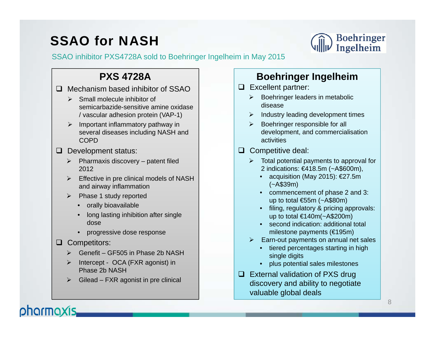# SSAO for NASH



SSAO inhibitor PXS4728A sold to Boehringer Ingelheim in May 2015

### **PXS 4728A**

□ Mechanism based inhibitor of SSAO

- $\triangleright$  Small molecule inhibitor of semicarbazide-sensitive amine oxidase / vascular adhesion protein (VAP-1)
- $\triangleright$  Important inflammatory pathway in several diseases including NASH and COPD
- $\Box$  Development status:
	- $\triangleright$  Pharmaxis discovery patent filed 2012
	- $\triangleright$  Effective in pre clinical models of NASH and airway inflammation
	- $\triangleright$  Phase 1 study reported
		- orally bioavailable
		- long lasting inhibition after single dose
		- progressive dose response

#### **Q** Competitors:

pharmaxis.

- $\blacktriangleright$ Genefit – GF505 in Phase 2b NASH
- $\triangleright$  Intercept - OCA (FXR agonist) in Phase 2b NASH
- $\blacktriangleright$ Gilead – FXR agonist in pre clinical

### **Boehringer Ingelheim**

- **Excellent partner:** 
	- $\triangleright$  Boehringer leaders in metabolic disease
	- $\triangleright$  Industry leading development times
	- ➤ Boehringer responsible for all development, and commercialisation activities
- $\Box$  Competitive deal:
	- $\triangleright$  Total potential payments to approval for 2 indications: €418.5m (~A\$600m),
		- acquisition (May 2015): €27.5m (~A\$39m)
		- commencement of phase 2 and 3: up to total €55m (~A\$80m)
		- filing, regulatory & pricing approvals: up to total €140m(~A\$200m)
		- second indication: additional total milestone payments (€195m)
	- $\triangleright$  Earn-out payments on annual net sales
		- tiered percentages starting in high single digits
		- plus potential sales milestones
- $\Box$  External validation of PXS drug discovery and ability to negotiate valuable global deals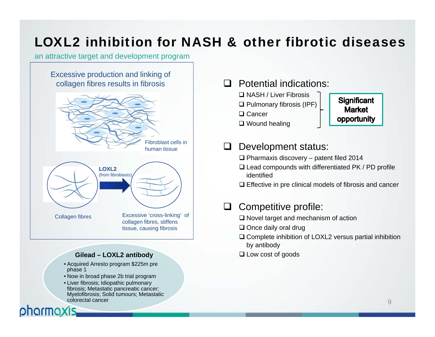# LOXL2 inhibition for NASH & other fibrotic diseases

#### an attractive target and development program

#### Excessive production and linking of collagen fibres results in fibrosis



#### **Gilead – LOXL2 antibody**

- Acquired Arresto program \$225m pre phase 1
- Now in broad phase 2b trial program
- Liver fibrosis; Idiopathic pulmonary fibrosis; Metastatic pancreatic cancer; Myelofibrosis; Solid tumours; Metastatic colorectal cancer

### **Q** Potential indications:

- NASH / Liver Fibrosis  $\square$  Pulmonary fibrosis (IPF)
- **□ Cancer**
- Wound healing

### **Significant Market** opportunity

### Development status:

- Pharmaxis discovery patent filed 2014
- $\square$  Lead compounds with differentiated PK / PD profile identified
- $\square$  Effective in pre clinical models of fibrosis and cancer

### $\Box$  Competitive profile:

- $\square$  Novel target and mechanism of action
- **□** Once daily oral drug
- $\square$  Complete inhibition of LOXL2 versus partial inhibition by antibody
- Low cost of goods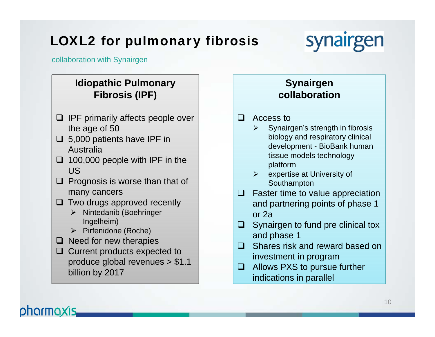# LOXL2 for pulmonary fibrosis



collaboration with Synairgen

### **Idiopathic Pulmonary Fibrosis (IPF)**

- $\Box$  IPF primarily affects people over the age of 50
- $\Box$  5,000 patients have IPF in Australia
- $\Box$  100,000 people with IPF in the US
- $\Box$  Prognosis is worse than that of many cancers
- $\Box$  Two drugs approved recently
	- $\triangleright$  Nintedanib (Boehringer Ingelheim)
	- $\triangleright$  Pirfenidone (Roche)
- $\Box$  Need for new therapies
- **□** Current products expected to produce global revenues > \$1.1 billion by 2017

### **Synairgen collaboration**

- $\Box$  Access to
	- $\blacktriangleright$  Synairgen's strength in fibrosis biology and respiratory clinical development - BioBank human tissue models technology platform
	- $\triangleright$  expertise at University of Southampton
- $\Box$  Faster time to value appreciation and partnering points of phase 1 or 2a
- $\Box$  Synairgen to fund pre clinical tox and phase 1
- $\Box$  Shares risk and reward based on investment in program
- **□** Allows PXS to pursue further indications in parallel

# phormoxis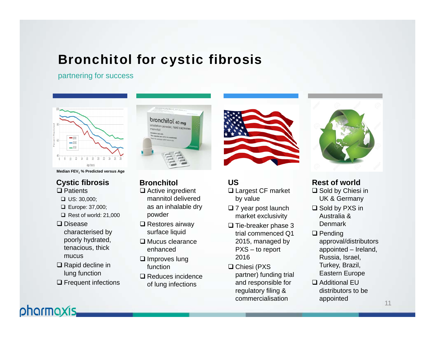# Bronchitol for cystic fibrosis

partnering for success



**Median FEV1 % Predicted versus Age**

#### **□ Patients Cystic fibrosis**

- $\Box$  US: 30,000;
- Europe: 37,000;
- $\Box$  Rest of world: 21,000
- **□** Disease characterised by poorly hydrated,
- tenacious, thick mucus**□ Rapid decline in**
- lung function

pharmaxis.

**□** Frequent infections



**Bronchitol**

- **□** Active ingredient mannitol delivered as an inhalable dry powder
- **□** Restores airway surface liquid
- $\square$  Mucus clearance enhanced
- $\square$  Improves lung function
- $\square$  Reduces incidence of lung infections



### **US**

- **□ Largest CF market** by value
- $\square$  7 year post launch market exclusivity
- $\square$  Tie-breaker phase 3 trial commenced Q1 2015, managed by PXS – to report 2016
- $\square$  Chiesi (PXS partner) funding trial and responsible for regulatory filing & commercialisation



**□** Sold by Chiesi in UK & Germany **Rest of world**

- $\square$  Sold by PXS in Australia & Denmark
- $\square$  Pending approval/distributors appointed – Ireland, Russia, Israel, Turkey, Brazil, Eastern Europe
- Additional EU distributors to be appointed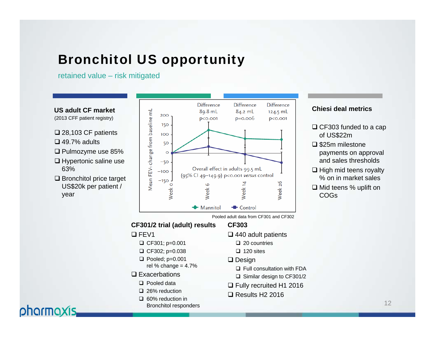# Bronchitol US opportunity

retained value – risk mitigated

**US adult CF market**

- (2013 CFF patient registry)
- 28,103 CF patients
- $\square$  49.7% adults

pharmaxis.

- Pulmozyme use 85%
- $\square$  Hypertonic saline use 63%
- $\square$  Bronchitol price target US\$20k per patient / year



#### **Chiesi deal metrics**

- **□ CF303 funded to a cap** of US\$22m
- **□ \$25m milestone** payments on approval and sales thresholds
- $\square$  High mid teens royalty % on in market sales
- Mid teens % uplift on COGs

Pooled adult data from CF301 and CF302

#### **CF301/2 trial (adult) results**

#### $\square$  FEV1

- $\Box$  CF301; p=0.001
- $\Box$  CF302; p=0.038
- $\Box$  Pooled; p=0.001 rel % change =  $4.7%$
- $\square$  Exacerbations
	- **□** Pooled data
	- 26% reduction
	- 60% reduction in Bronchitol responders
- **CF303**
	- 440 adult patients
		- □ 20 countries
		- $\Box$  120 sites

#### $\square$  Design

- **□ Full consultation with FDA**
- Similar design to CF301/2
- Fully recruited H1 2016
- $\square$  Results H2 2016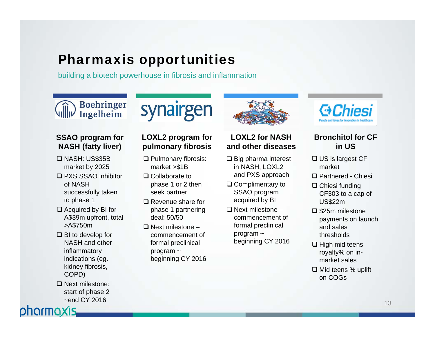# Pharmaxis opportunities

building a biotech powerhouse in fibrosis and inflammation

### **Boehringer** Ingelheim

### **SSAO program for NASH (fatty liver)**

- NASH: US\$35B market by 2025
- PXS SSAO inhibitor of NASH successfully taken to phase 1
- $\Box$  Acquired by BI for A\$39m upfront, total >A\$750m
- BI to develop for NASH and other inflammatory indications (eg. kidney fibrosis, COPD)
- □ Next milestone: start of phase 2 ~end CY 2016



### **LOXL2 program for pulmonary fibrosis**

- **□ Pulmonary fibrosis:** market >\$1B
- **□ Collaborate to** phase 1 or 2 then seek partner
- **□** Revenue share for phase 1 partnering deal: 50/50
- $\square$  Next milestone commencement of formal preclinical program ~ beginning CY 2016



### **LOXL2 for NASH and other diseases**

- $\square$  Big pharma interest in NASH, LOXL2 and PXS approach
- **□ Complimentary to** SSAO program acquired by BI
- $\square$  Next milestone commencement of formal preclinical program ~ beginning CY 2016



### **Bronchitol for CF in US**

- **□ US is largest CF** market
- Partnered Chiesi
- **□ Chiesi funding** CF303 to a cap of US\$22m
- $\square$  \$25m milestone payments on launch and sales thresholds
- $\square$  High mid teens royalty% on inmarket sales
- Mid teens % uplift on COGs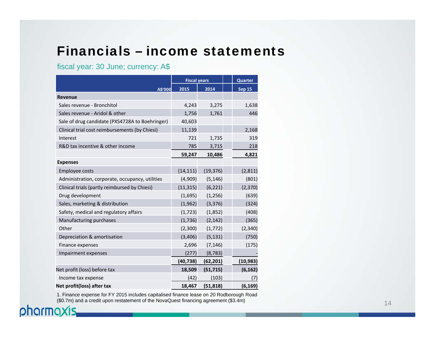# Financials – income statements

### fiscal year: 30 June; currency: A\$

|                                                 | <b>Fiscal years</b> |           | Quarter       |
|-------------------------------------------------|---------------------|-----------|---------------|
| A\$'000                                         | 2015                | 2014      | <b>Sep 15</b> |
| <b>Revenue</b>                                  |                     |           |               |
| Sales revenue - Bronchitol                      | 4,243               | 3,275     | 1,638         |
| Sales revenue - Aridol & other                  | 1,756               | 1,761     | 446           |
| Sale of drug candidate (PXS4728A to Boehringer) | 40,603              |           |               |
| Clinical trial cost reimbursements (by Chiesi)  | 11,139              |           | 2,168         |
| Interest                                        | 721                 | 1,735     | 319           |
| R&D tax incentive & other income                | 785                 | 3,715     | 218           |
|                                                 | 59,247              | 10,486    | 4,821         |
| <b>Expenses</b>                                 |                     |           |               |
| <b>Employee costs</b>                           | (14, 111)           | (19, 376) | (2,811)       |
| Administration, corporate, occupancy, utilities | (4,909)             | (5, 146)  | (801)         |
| Clinical trials (partly reimbursed by Chiesi)   | (11, 315)           | (6, 221)  | (2, 370)      |
| Drug development                                | (1,695)             | (1, 256)  | (639)         |
| Sales, marketing & distribution                 | (1, 962)            | (3, 376)  | (324)         |
| Safety, medical and regulatory affairs          | (1, 723)            | (1,852)   | (408)         |
| Manufacturing purchases                         | (1,736)             | (2, 142)  | (365)         |
| Other                                           | (2,300)             | (1, 772)  | (2, 340)      |
| Depreciation & amortisation                     | (3,406)             | (5, 131)  | (750)         |
| Finance expenses                                | 2,696               | (7, 146)  | (175)         |
| Impairment expenses                             | (277)               | (8, 783)  |               |
|                                                 | (40, 738)           | (62, 201) | (10,983)      |
| Net profit (loss) before tax                    | 18,509              | (51, 715) | (6, 162)      |
| Income tax expense                              | (42)                | (103)     | (7)           |
| Net profit(loss) after tax                      | 18,467              | (51, 818) | (6, 169)      |

1. Finance expense for FY 2015 includes capitalised finance lease on 20 Rodborough Road (\$0.7m) and a credit upon restatement of the NovaQuest financing agreement (\$3.4m)

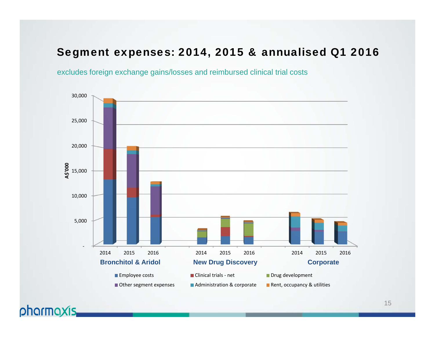### Segment expenses: 2014, 2015 & annualised Q1 2016

excludes foreign exchange gains/losses and reimbursed clinical trial costs

phormoxis.

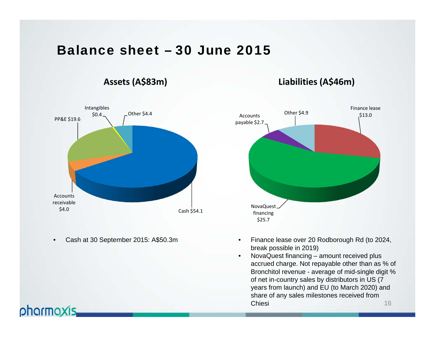### Balance sheet – 30 June 2015

### **Assets (A\$83m)**

# Cash \$54.1 Accountsreceivable\$4.0 PP&E \$19.6 Intangibles  $$0.4$   $~$  Other \$4.4

 $\bullet$ Cash at 30 September 2015: A\$50.3m



**Liabilities (A\$46m)**

- $\bullet$  Finance lease over 20 Rodborough Rd (to 2024, break possible in 2019)
- 16• NovaQuest financing – amount received plus accrued charge. Not repayable other than as % of Bronchitol revenue - average of mid-single digit % of net in-country sales by distributors in US (7 years from launch) and EU (to March 2020) and share of any sales milestones received from **Chiesi**

# pharmaxis.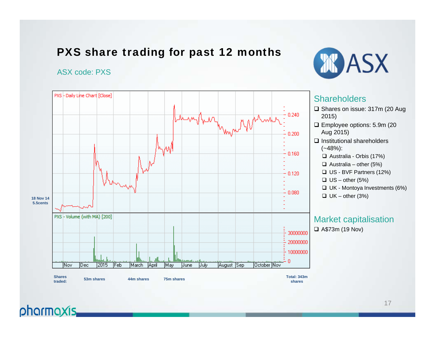### PXS share trading for past 12 months

#### ASX code: PXS





### **Shareholders**

- **□** Shares on issue: 317m (20 Aug
- Employee options: 5.9m (20 Aug 2015)
- $\square$  Institutional shareholders  $(-48%)$ :
	- Australia Orbis (17%)
	- $\Box$  Australia other (5%)
	- US BVF Partners (12%)
	- $\square$  US other (5%)
	- UK Montoya Investments (6%)
	- $\Box$  UK other (3%)

### Market capitalisation

A\$73m (19 Nov)

# pharmaxis.